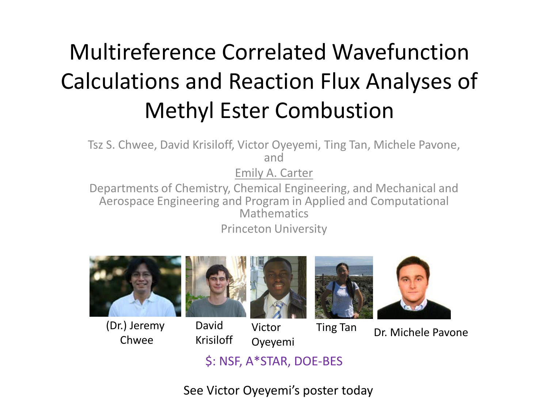# Multireference Correlated Wavefunction Calculations and Reaction Flux Analyses of Methyl Ester Combustion

Tsz S. Chwee, David Krisiloff, Victor Oyeyemi, Ting Tan, Michele Pavone, and

Emily A. Carter

Departments of Chemistry, Chemical Engineering, and Mechanical and Aerospace Engineering and Program in Applied and Computational **Mathematics** 

Princeton University



(Dr.) Jeremy David Victor Ting Tan



David Krisiloff







Chwee Bavid Victor Thighan Dr. Michele Pavone

\$: NSF, A\*STAR, DOE-BES

Oyeyemi

Victor

See Victor Oyeyemi's poster today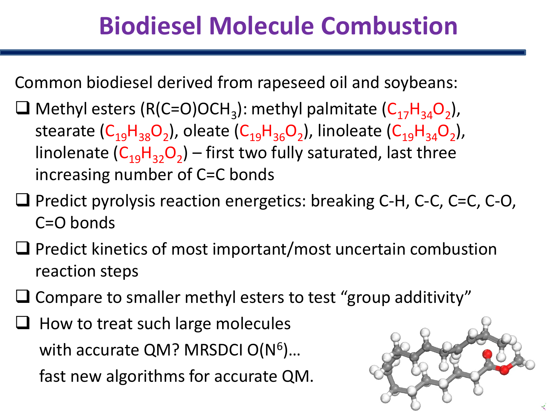# **Biodiesel Molecule Combustion**

Common biodiesel derived from rapeseed oil and soybeans:

- **O** Methyl esters (R(C=O)OCH<sub>3</sub>): methyl palmitate ( $C_{17}H_{34}O_2$ ), stearate  $(C_{19}H_{38}O_2)$ , oleate  $(C_{19}H_{36}O_2)$ , linoleate  $(C_{19}H_{34}O_2)$ , linolenate  $(C_{19}H_{32}O_2)$  – first two fully saturated, last three increasing number of C=C bonds
- $\Box$  Predict pyrolysis reaction energetics: breaking C-H, C-C, C=C, C-O, C=O bonds
- $\Box$  Predict kinetics of most important/most uncertain combustion reaction steps
- $\Box$  Compare to smaller methyl esters to test "group additivity"
- $\Box$  How to treat such large molecules with accurate QM? MRSDCI  $O(N^6)$ ... fast new algorithms for accurate QM.

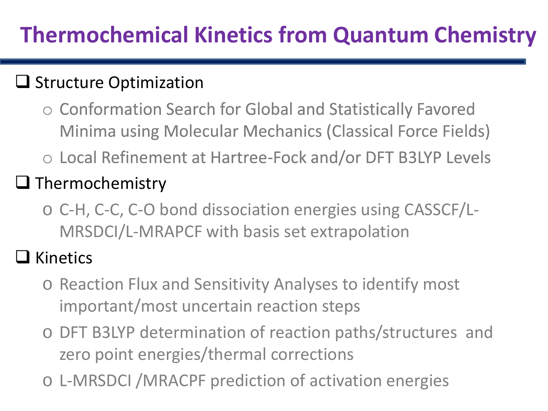# **Thermochemical Kinetics from Quantum Chemistry**

## $\Box$  Structure Optimization

- Conformation Search for Global and Statistically Favored Minima using Molecular Mechanics (Classical Force Fields)
- Local Refinement at Hartree-Fock and/or DFT B3LYP Levels

## $\Box$  Thermochemistry

o C-H, C-C, C-O bond dissociation energies using CASSCF/L-MRSDCI/L-MRAPCF with basis set extrapolation

## $\square$  Kinetics

- o Reaction Flux and Sensitivity Analyses to identify most important/most uncertain reaction steps
- o DFT B3LYP determination of reaction paths/structures and zero point energies/thermal corrections
- o L-MRSDCI /MRACPF prediction of activation energies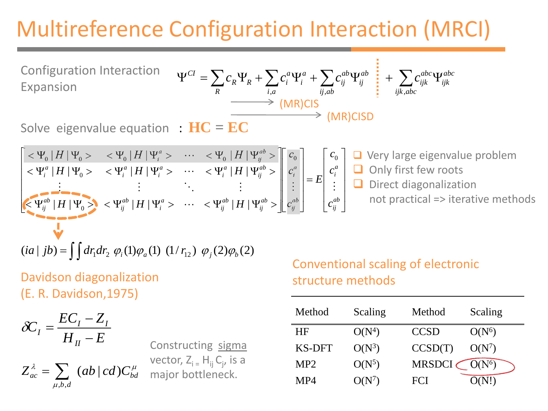# Multireference Configuration Interaction (MRCI)

Configuration Interaction

\n
$$
\Psi^{CI} = \sum_{R} c_{R} \Psi_{R} + \sum_{i,a} c_{i}^{a} \Psi_{i}^{a} + \sum_{ij,ab} c_{ij}^{ab} \Psi_{ij}^{ab}
$$
\nExpanion

\n
$$
\xrightarrow{\qquad \qquad \qquad}_{\qquad \qquad i,a} \qquad \qquad \qquad \longrightarrow \qquad \text{(MR)CIS}
$$
\nSolve eigenvalue equation

\n
$$
\text{H} = \text{EC}
$$
\nEXECUTE: The system of the system is given by:

\n
$$
\text{M} = \text{C}
$$

 $\overline{\phantom{a}}$  $\overline{\phantom{a}}$  $\overline{\phantom{a}}$  $\overline{\phantom{a}}$  $\rfloor$  $\overline{\phantom{a}}$  $\overline{\phantom{a}}$  $\mathbf{r}$  $\mathbf{r}$  $\mathbf{r}$ L  $\mathbf{r}$ =  $\overline{\phantom{a}}$  $\overline{\phantom{a}}$  $\overline{\phantom{a}}$  $\overline{\phantom{a}}$  $\rfloor$  $\overline{\phantom{a}}$  $\overline{\phantom{a}}$  $\mathbf{r}$  $\overline{ }$  $\mathbf{r}$ L  $\mathbf{r}$  $\overline{\phantom{a}}$  $\overline{\phantom{a}}$  $\overline{\phantom{a}}$  $\overline{\phantom{a}}$ I  $\rfloor$  $\overline{\phantom{a}}$  $\vert\vert$ L  $\overline{a}$  $\overline{a}$ L L  $\mathsf{L}$ >ΨΨ<>ΨΨ<>ΨΨ<  $<\!\Psi^a_i \,|\, H \,|\, \Psi^a_0> \quad <\!\Psi^a_i \,|\, H \,|\, \Psi^a_i> \quad \cdots \quad <\!\Psi^a_i \,|\, H \,|\, \Psi^{ab}_{ii}>$  $<\!\Psi_{\!0}\,|\,H\,|\,\Psi_{\!0}\!>\, \quad <\!\Psi_{\!0}\,|\,H\,|\,\Psi_{\!i}^a\!>\, \quad \cdots \quad <\!\Psi_{\!0}\,|\,H\,|\,\Psi_{\!ii}^{ab}\!>\,$ *ab ij a i ab ij a i ab ij ab ij a i ab ij ab ij ab ij a i a i a i a i ab ij a i c c c E c c c*  $H \, | \, \Psi_0 > \, < \Psi_{ii}^{ab} \, | \, H \, | \, \Psi_i^a > \, \; \cdots \; \; < \Psi_{ii}^{ab} \, | \, H$  $H \, | \, \Psi_0 > \, | < \Psi_i^a \, | \, H \, | \, \Psi_i^a > \, \cdots \, | \, < \Psi_i^a \, | \, H$  $H | \Psi_0 > \langle \Psi_0 | H | \Psi_i^a > \cdots \langle \Psi_0 | H$  $\frac{1}{2}$   $\frac{1}{2}$   $\frac{1}{2}$   $\frac{1}{2}$   $\frac{1}{2}$   $\frac{1}{2}$   $\frac{1}{2}$   $\frac{1}{2}$   $\frac{1}{2}$   $\frac{1}{2}$   $\frac{1}{2}$   $\frac{1}{2}$   $\frac{1}{2}$   $\frac{1}{2}$   $\frac{1}{2}$   $\frac{1}{2}$   $\frac{1}{2}$   $\frac{1}{2}$   $\frac{1}{2}$   $\frac{1}{2}$   $\frac{1}{2}$   $\frac{1}{2}$   $\cdots$ ing a strong term of the state of the state of the state of the state of the state of the state of the state o<br>The state of the state of the state of the state of the state of the state of the state of the state of the st  $\cdots$  $\cdots \quad <\Psi_{0}\,\left|\,H\,\right|\Psi_{ij}^{ab}>\,\left|\,\right|\,c_{0}\,\left|\,\right| \quad\left|\,\right| \,c_{0}$ 0 0  $0 | \mathbf{u} | \mathbf{u}^0 > 0$   $\mathbf{u}^0 | \mathbf{u} | \mathbf{u}^1 > 0$ || || ||  $\|H\>|\Psi_{0}\!> \quad <\!\Psi_{i}^{a}\>|\,H\>|\Psi_{i}^{a}\!>\ \ \cdots \ \ <\!\Psi_{i}^{a}\>|\,H\>|\,$  $||H||\Psi_0>$   $||<\Psi_0||H||\Psi_i^a>$   $\cdots$   $||<\Psi_0||H||\Psi_i^{ab}>$   $||C_0||$   $||C_0||$   $||$  Very large eigenvalue problem Only first few roots Direct diagonalization not practical => iterative methods

$$
(ia \mid jb) = \iint dr_1 dr_2 \varphi_i(1)\varphi_a(1) (1/r_{12}) \varphi_j(2)\varphi_b(2)
$$

Davidson diagonalization (E. R. Davidson,1975)

$$
\delta C_I = \frac{EC_I - Z_I}{H_{II} - E}
$$

 $\mu$ 

 $=$   $\sum$ 

*db*

 $,b,$ 

 $Z_{ac}^{\lambda} = \sum_{\alpha} (ab \mid cd)C$ 

 $\lambda = \sum (ab \mid ad) C^{\mu}$ *bd* Constructing sigma vector, Z<sub>i =</sub> H<sub>ij</sub> C<sub>j</sub>, is a major bottleneck.

#### Conventional scaling of electronic structure methods

| Method        | Scaling  | Method      | Scaling  |
|---------------|----------|-------------|----------|
| <b>HF</b>     | $O(N^4)$ | <b>CCSD</b> | $O(N^6)$ |
| <b>KS-DFT</b> | $O(N^3)$ | CCSD(T)     | $O(N^7)$ |
| MP2           | $O(N^5)$ | MRSDCI      | $O(N^6)$ |
| MP4           | $O(N^7)$ | <b>FCI</b>  | O(N!)    |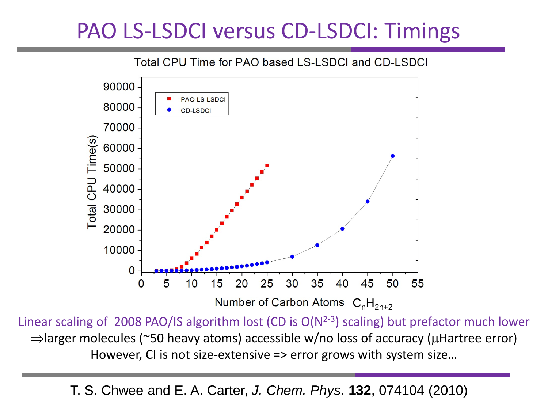## PAO LS-LSDCI versus CD-LSDCI: Timings



Linear scaling of 2008 PAO/IS algorithm lost (CD is  $O(N^{2-3})$  scaling) but prefactor much lower ⇒larger molecules (~50 heavy atoms) accessible w/no loss of accuracy (µHartree error) However, CI is not size-extensive => error grows with system size...

T. S. Chwee and E. A. Carter, *J. Chem. Phys*. **132**, 074104 (2010)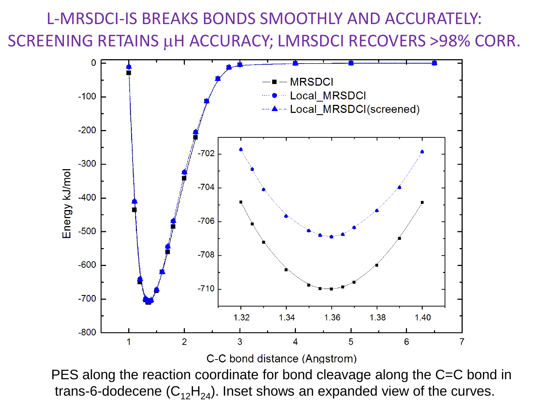L-MRSDCI-IS BREAKS BONDS SMOOTHLY AND ACCURATELY: SCREENING RETAINS µH ACCURACY; LMRSDCI RECOVERS >98% CORR.



PES along the reaction coordinate for bond cleavage along the C=C bond in trans-6-dodecene  $(C_{12}H_{24})$ . Inset shows an expanded view of the curves.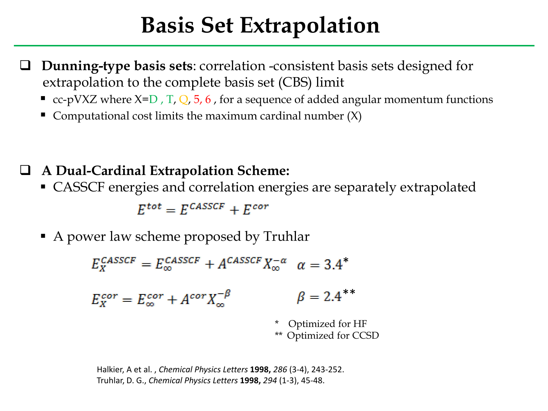# **Basis Set Extrapolation**

- **Dunning-type basis sets**: correlation -consistent basis sets designed for extrapolation to the complete basis set (CBS) limit
	- cc-pVXZ where  $X=D$ , T, Q, 5, 6, for a sequence of added angular momentum functions
	- Computational cost limits the maximum cardinal number  $(X)$

#### **A Dual-Cardinal Extrapolation Scheme:**

CASSCF energies and correlation energies are separately extrapolated

$$
E^{tot} = E^{CASSCF} + E^{cor}
$$

A power law scheme proposed by Truhlar

 $E_{\rm v}^{\rm CASSCF} = E_{\rm w}^{\rm CASSCF} + A^{\rm CASSCF} X_{\rm w}^{-\alpha}$   $\alpha = 3.4^*$  $\beta = 2.4$ <sup>\*\*</sup>  $E^{cor}_{r} = E^{cor}_{r} + A^{cor} X^{-\beta}_{r}$ \* Optimized for HF \*\* Optimized for CCSD

Halkier, A et al. , *Chemical Physics Letters* **1998,** *286* (3-4), 243-252. Truhlar, D. G., *Chemical Physics Letters* **1998,** *294* (1-3), 45-48.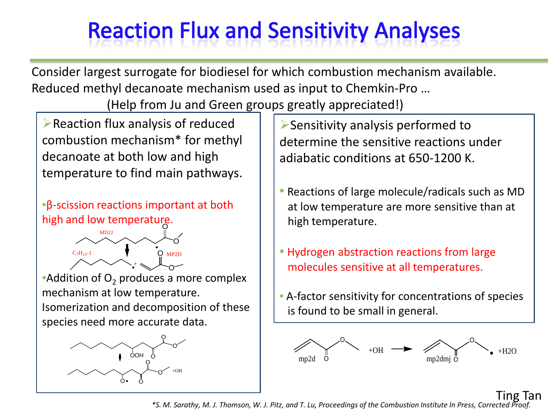# **Reaction Flux and Sensitivity Analyses**

Consider largest surrogate for biodiesel for which combustion mechanism available. Reduced methyl decanoate mechanism used as input to Chemkin-Pro …

(Help from Ju and Green groups greatly appreciated!)

Reaction flux analysis of reduced combustion mechanism\* for methyl decanoate at both low and high temperature to find main pathways.

•β-scission reactions important at both high and low temperature.



• Addition of  $O<sub>2</sub>$  produces a more complex mechanism at low temperature.

Isomerization and decomposition of these species need more accurate data.



Sensitivity analysis performed to determine the sensitive reactions under adiabatic conditions at 650-1200 K.

- Reactions of large molecule/radicals such as MD at low temperature are more sensitive than at high temperature.
- Hydrogen abstraction reactions from large molecules sensitive at all temperatures.
- A-factor sensitivity for concentrations of species is found to be small in general.



*\*S. M. Sarathy, M. J. Thomson, W. J. Pitz, and T. Lu, Proceedings of the Combustion Institute In Press, Corrected Proof.* Ting Tan